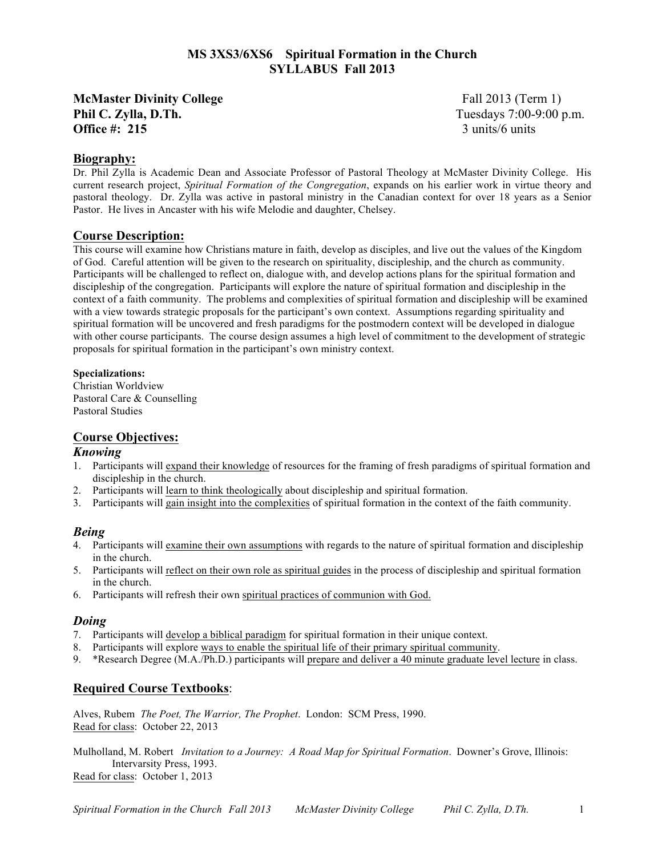# **MS 3XS3/6XS6 Spiritual Formation in the Church SYLLABUS Fall 2013**

**McMaster Divinity College** Fall 2013 (Term 1) **Phil C. Zylla, D.Th.** Tuesdays 7:00-9:00 p.m.<br> **Office #: 215** 3 units/6 units **Office #: 215** 

# **Biography:**

Dr. Phil Zylla is Academic Dean and Associate Professor of Pastoral Theology at McMaster Divinity College. His current research project, *Spiritual Formation of the Congregation*, expands on his earlier work in virtue theory and pastoral theology. Dr. Zylla was active in pastoral ministry in the Canadian context for over 18 years as a Senior Pastor. He lives in Ancaster with his wife Melodie and daughter, Chelsey.

## **Course Description:**

This course will examine how Christians mature in faith, develop as disciples, and live out the values of the Kingdom of God. Careful attention will be given to the research on spirituality, discipleship, and the church as community. Participants will be challenged to reflect on, dialogue with, and develop actions plans for the spiritual formation and discipleship of the congregation. Participants will explore the nature of spiritual formation and discipleship in the context of a faith community. The problems and complexities of spiritual formation and discipleship will be examined with a view towards strategic proposals for the participant's own context. Assumptions regarding spirituality and spiritual formation will be uncovered and fresh paradigms for the postmodern context will be developed in dialogue with other course participants. The course design assumes a high level of commitment to the development of strategic proposals for spiritual formation in the participant's own ministry context.

## **Specializations:**

Christian Worldview Pastoral Care & Counselling Pastoral Studies

# **Course Objectives:**

## *Knowing*

- 1. Participants will expand their knowledge of resources for the framing of fresh paradigms of spiritual formation and discipleship in the church.
- 2. Participants will learn to think theologically about discipleship and spiritual formation.
- 3. Participants will gain insight into the complexities of spiritual formation in the context of the faith community.

# *Being*

- 4. Participants will examine their own assumptions with regards to the nature of spiritual formation and discipleship in the church.
- 5. Participants will reflect on their own role as spiritual guides in the process of discipleship and spiritual formation in the church.
- 6. Participants will refresh their own spiritual practices of communion with God.

## *Doing*

- 7. Participants will develop a biblical paradigm for spiritual formation in their unique context.
- 8. Participants will explore ways to enable the spiritual life of their primary spiritual community.
- 9. \*Research Degree (M.A./Ph.D.) participants will prepare and deliver a 40 minute graduate level lecture in class.

# **Required Course Textbooks**:

Alves, Rubem *The Poet, The Warrior, The Prophet*. London: SCM Press, 1990. Read for class: October 22, 2013

Mulholland, M. Robert *Invitation to a Journey: A Road Map for Spiritual Formation*. Downer's Grove, Illinois: Intervarsity Press, 1993. Read for class: October 1, 2013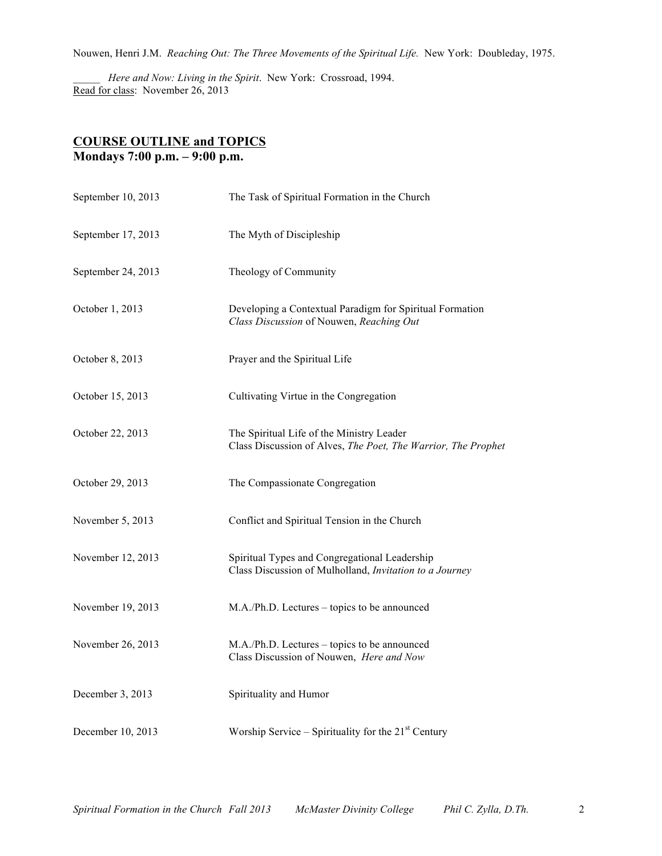Nouwen, Henri J.M. *Reaching Out: The Three Movements of the Spiritual Life.* New York: Doubleday, 1975.

\_\_\_\_\_ *Here and Now: Living in the Spirit*. New York: Crossroad, 1994. Read for class: November 26, 2013

# **COURSE OUTLINE and TOPICS Mondays 7:00 p.m. – 9:00 p.m.**

| September 10, 2013 | The Task of Spiritual Formation in the Church                                                              |
|--------------------|------------------------------------------------------------------------------------------------------------|
| September 17, 2013 | The Myth of Discipleship                                                                                   |
| September 24, 2013 | Theology of Community                                                                                      |
| October 1, 2013    | Developing a Contextual Paradigm for Spiritual Formation<br>Class Discussion of Nouwen, Reaching Out       |
| October 8, 2013    | Prayer and the Spiritual Life                                                                              |
| October 15, 2013   | Cultivating Virtue in the Congregation                                                                     |
| October 22, 2013   | The Spiritual Life of the Ministry Leader<br>Class Discussion of Alves, The Poet, The Warrior, The Prophet |
| October 29, 2013   | The Compassionate Congregation                                                                             |
| November 5, 2013   | Conflict and Spiritual Tension in the Church                                                               |
| November 12, 2013  | Spiritual Types and Congregational Leadership<br>Class Discussion of Mulholland, Invitation to a Journey   |
| November 19, 2013  | M.A./Ph.D. Lectures – topics to be announced                                                               |
| November 26, 2013  | M.A./Ph.D. Lectures – topics to be announced<br>Class Discussion of Nouwen, Here and Now                   |
| December 3, 2013   | Spirituality and Humor                                                                                     |
| December 10, 2013  | Worship Service – Spirituality for the $21st$ Century                                                      |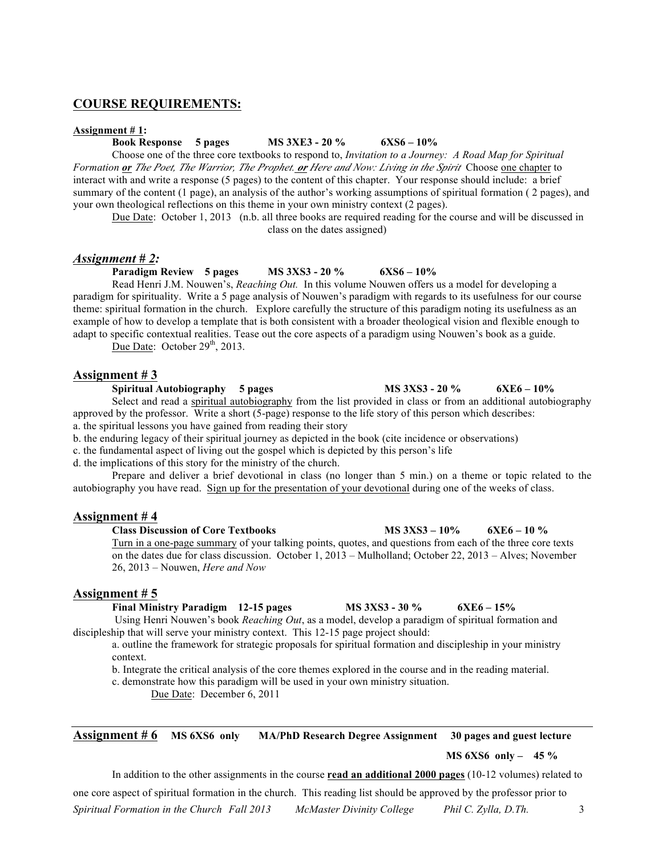# **COURSE REQUIREMENTS:**

#### **Assignment # 1:**

## **Book Response 5 pages MS 3XE3 - 20 % 6XS6 – 10%**

Choose one of the three core textbooks to respond to, *Invitation to a Journey: A Road Map for Spiritual Formation or The Poet, The Warrior, The Prophet. or Here and Now: Living in the Spirit*Choose one chapter to interact with and write a response (5 pages) to the content of this chapter. Your response should include: a brief summary of the content (1 page), an analysis of the author's working assumptions of spiritual formation ( 2 pages), and your own theological reflections on this theme in your own ministry context (2 pages).

Due Date: October 1, 2013 (n.b. all three books are required reading for the course and will be discussed in class on the dates assigned)

### *Assignment # 2:*

**Paradigm Review 5 pages MS 3XS3 - 20 % 6XS6 – 10%**

Read Henri J.M. Nouwen's, *Reaching Out.* In this volume Nouwen offers us a model for developing a paradigm for spirituality. Write a 5 page analysis of Nouwen's paradigm with regards to its usefulness for our course theme: spiritual formation in the church. Explore carefully the structure of this paradigm noting its usefulness as an example of how to develop a template that is both consistent with a broader theological vision and flexible enough to adapt to specific contextual realities. Tease out the core aspects of a paradigm using Nouwen's book as a guide.

Due Date: October  $29<sup>th</sup>$ , 2013.

## **Assignment # 3**

**Spiritual Autobiography 5 pages MS 3XS3 - 20 % 6XE6 – 10%**

Select and read a spiritual autobiography from the list provided in class or from an additional autobiography approved by the professor. Write a short (5-page) response to the life story of this person which describes: a. the spiritual lessons you have gained from reading their story

b. the enduring legacy of their spiritual journey as depicted in the book (cite incidence or observations)

c. the fundamental aspect of living out the gospel which is depicted by this person's life

d. the implications of this story for the ministry of the church.

Prepare and deliver a brief devotional in class (no longer than 5 min.) on a theme or topic related to the autobiography you have read. Sign up for the presentation of your devotional during one of the weeks of class.

## **Assignment # 4**

**Class Discussion of Core Textbooks MS 3XS3 – 10% 6XE6 – 10 %** Turn in a one-page summary of your talking points, quotes, and questions from each of the three core texts on the dates due for class discussion. October 1, 2013 – Mulholland; October 22, 2013 – Alves; November 26, 2013 – Nouwen, *Here and Now*

#### **Assignment # 5**

**Final Ministry Paradigm 12-15 pages MS 3XS3 - 30 % 6XE6 – 15%** Using Henri Nouwen's book *Reaching Out*, as a model, develop a paradigm of spiritual formation and discipleship that will serve your ministry context. This 12-15 page project should:

a. outline the framework for strategic proposals for spiritual formation and discipleship in your ministry context.

b. Integrate the critical analysis of the core themes explored in the course and in the reading material.

c. demonstrate how this paradigm will be used in your own ministry situation.

Due Date: December 6, 2011

**Assignment # 6 MS 6XS6 only MA/PhD Research Degree Assignment 30 pages and guest lecture**

 **MS 6XS6 only – 45 %**

In addition to the other assignments in the course **read an additional 2000 pages** (10-12 volumes) related to

*Spiritual Formation in the Church Fall 2013 McMaster Divinity College Phil C. Zylla, D.Th.* 3 one core aspect of spiritual formation in the church. This reading list should be approved by the professor prior to